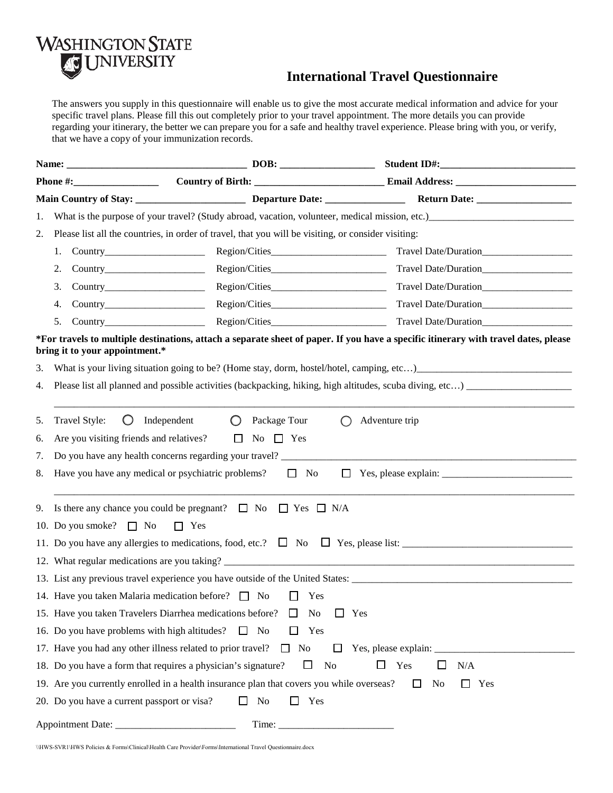

## **International Travel Questionnaire**

The answers you supply in this questionnaire will enable us to give the most accurate medical information and advice for your specific travel plans. Please fill this out completely prior to your travel appointment. The more details you can provide regarding your itinerary, the better we can prepare you for a safe and healthy travel experience. Please bring with you, or verify, that we have a copy of your immunization records.

| 1. |                                                                                                     |                                                                                           |                                                                                                                                     |  |  |  |  |  |
|----|-----------------------------------------------------------------------------------------------------|-------------------------------------------------------------------------------------------|-------------------------------------------------------------------------------------------------------------------------------------|--|--|--|--|--|
| 2. | Please list all the countries, in order of travel, that you will be visiting, or consider visiting: |                                                                                           |                                                                                                                                     |  |  |  |  |  |
|    | 1.                                                                                                  |                                                                                           | Travel Date/Duration                                                                                                                |  |  |  |  |  |
|    | 2.                                                                                                  |                                                                                           |                                                                                                                                     |  |  |  |  |  |
|    | 3.                                                                                                  | Region/Cities                                                                             |                                                                                                                                     |  |  |  |  |  |
|    | 4.                                                                                                  |                                                                                           | Travel Date/Duration                                                                                                                |  |  |  |  |  |
|    | 5.                                                                                                  |                                                                                           | Travel Date/Duration                                                                                                                |  |  |  |  |  |
|    | bring it to your appointment.*                                                                      |                                                                                           | *For travels to multiple destinations, attach a separate sheet of paper. If you have a specific itinerary with travel dates, please |  |  |  |  |  |
| 3. |                                                                                                     |                                                                                           |                                                                                                                                     |  |  |  |  |  |
| 4. |                                                                                                     |                                                                                           |                                                                                                                                     |  |  |  |  |  |
|    |                                                                                                     |                                                                                           |                                                                                                                                     |  |  |  |  |  |
| 5. | Travel Style:<br>$\bigcirc$<br>Independent<br>$\bigcirc$<br>Package Tour<br>∩<br>Adventure trip     |                                                                                           |                                                                                                                                     |  |  |  |  |  |
| 6. | Are you visiting friends and relatives?                                                             | $\Box$ No $\Box$ Yes                                                                      |                                                                                                                                     |  |  |  |  |  |
| 7. |                                                                                                     |                                                                                           |                                                                                                                                     |  |  |  |  |  |
| 8. | Have you have any medical or psychiatric problems?<br>$\Box$ No<br>$\mathbf{1}$                     |                                                                                           |                                                                                                                                     |  |  |  |  |  |
| 9. | Is there any chance you could be pregnant? $\Box$ No $\Box$ Yes $\Box$ N/A                          |                                                                                           |                                                                                                                                     |  |  |  |  |  |
|    | 10. Do you smoke? $\Box$ No<br>$\Box$ Yes                                                           |                                                                                           |                                                                                                                                     |  |  |  |  |  |
|    |                                                                                                     |                                                                                           |                                                                                                                                     |  |  |  |  |  |
|    |                                                                                                     |                                                                                           |                                                                                                                                     |  |  |  |  |  |
|    |                                                                                                     |                                                                                           |                                                                                                                                     |  |  |  |  |  |
|    | 14. Have you taken Malaria medication before? $\Box$ No<br>$\perp$<br>Yes                           |                                                                                           |                                                                                                                                     |  |  |  |  |  |
|    |                                                                                                     | 15. Have you taken Travelers Diarrhea medications before?<br>No<br>ப                      | Yes                                                                                                                                 |  |  |  |  |  |
|    |                                                                                                     | 16. Do you have problems with high altitudes? $\Box$ No<br>Yes                            |                                                                                                                                     |  |  |  |  |  |
|    |                                                                                                     | 17. Have you had any other illness related to prior travel? $\Box$ No<br>⊔                | Yes, please explain: __                                                                                                             |  |  |  |  |  |
|    |                                                                                                     | 18. Do you have a form that requires a physician's signature?<br>$\Box$<br>No             | Yes<br>$\Box$<br>$\Box$<br>N/A                                                                                                      |  |  |  |  |  |
|    |                                                                                                     | 19. Are you currently enrolled in a health insurance plan that covers you while overseas? | No<br>Yes<br>$\perp$<br>U                                                                                                           |  |  |  |  |  |
|    | 20. Do you have a current passport or visa?                                                         | Yes<br>No<br>ப<br>$\mathbf{I}$                                                            |                                                                                                                                     |  |  |  |  |  |
|    | Appointment Date: ____                                                                              | Time:                                                                                     |                                                                                                                                     |  |  |  |  |  |

\\HWS-SVR1\HWS Policies & Forms\Clinical\Health Care Provider\Forms\International Travel Questionnaire.docx